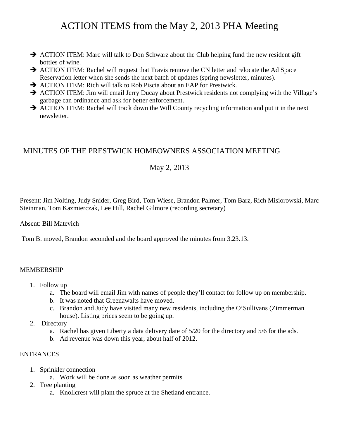# ACTION ITEMS from the May 2, 2013 PHA Meeting

- $\rightarrow$  ACTION ITEM: Marc will talk to Don Schwarz about the Club helping fund the new resident gift bottles of wine.
- $\rightarrow$  ACTION ITEM: Rachel will request that Travis remove the CN letter and relocate the Ad Space Reservation letter when she sends the next batch of updates (spring newsletter, minutes).
- $\rightarrow$  ACTION ITEM: Rich will talk to Rob Piscia about an EAP for Prestwick.
- $\rightarrow$  ACTION ITEM: Jim will email Jerry Ducay about Prestwick residents not complying with the Village's garbage can ordinance and ask for better enforcement.
- $\rightarrow$  ACTION ITEM: Rachel will track down the Will County recycling information and put it in the next newsletter.

# MINUTES OF THE PRESTWICK HOMEOWNERS ASSOCIATION MEETING

# May 2, 2013

Present: Jim Nolting, Judy Snider, Greg Bird, Tom Wiese, Brandon Palmer, Tom Barz, Rich Misiorowski, Marc Steinman, Tom Kazmierczak, Lee Hill, Rachel Gilmore (recording secretary)

Absent: Bill Matevich

Tom B. moved, Brandon seconded and the board approved the minutes from 3.23.13.

## MEMBERSHIP

- 1. Follow up
	- a. The board will email Jim with names of people they'll contact for follow up on membership.
	- b. It was noted that Greenawalts have moved.
	- c. Brandon and Judy have visited many new residents, including the O'Sullivans (Zimmerman house). Listing prices seem to be going up.
- 2. Directory
	- a. Rachel has given Liberty a data delivery date of 5/20 for the directory and 5/6 for the ads.
	- b. Ad revenue was down this year, about half of 2012.

# ENTRANCES

- 1. Sprinkler connection
	- a. Work will be done as soon as weather permits
- 2. Tree planting
	- a. Knollcrest will plant the spruce at the Shetland entrance.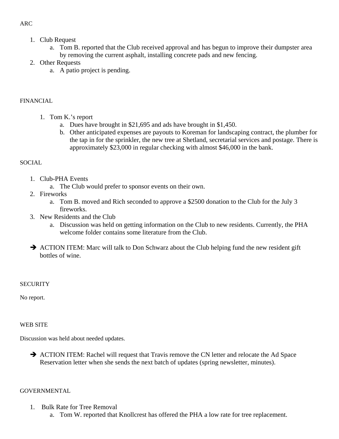# 1. Club Request

- a. Tom B. reported that the Club received approval and has begun to improve their dumpster area by removing the current asphalt, installing concrete pads and new fencing.
- 2. Other Requests
	- a. A patio project is pending.

# FINANCIAL

- 1. Tom K.'s report
	- a. Dues have brought in \$21,695 and ads have brought in \$1,450.
	- b. Other anticipated expenses are payouts to Koreman for landscaping contract, the plumber for the tap in for the sprinkler, the new tree at Shetland, secretarial services and postage. There is approximately \$23,000 in regular checking with almost \$46,000 in the bank.

#### **SOCIAL**

- 1. Club-PHA Events
	- a. The Club would prefer to sponsor events on their own.
- 2. Fireworks
	- a. Tom B. moved and Rich seconded to approve a \$2500 donation to the Club for the July 3 fireworks.
- 3. New Residents and the Club
	- a. Discussion was held on getting information on the Club to new residents. Currently, the PHA welcome folder contains some literature from the Club.
- $\rightarrow$  ACTION ITEM: Marc will talk to Don Schwarz about the Club helping fund the new resident gift bottles of wine.

## **SECURITY**

No report.

#### WEB SITE

Discussion was held about needed updates.

 $\rightarrow$  ACTION ITEM: Rachel will request that Travis remove the CN letter and relocate the Ad Space Reservation letter when she sends the next batch of updates (spring newsletter, minutes).

#### **GOVERNMENTAL**

- 1. Bulk Rate for Tree Removal
	- a. Tom W. reported that Knollcrest has offered the PHA a low rate for tree replacement.

# ARC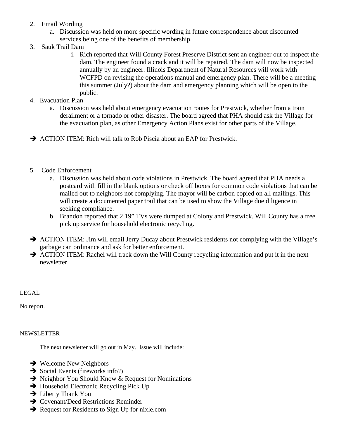- 2. Email Wording
	- a. Discussion was held on more specific wording in future correspondence about discounted services being one of the benefits of membership.
- 3. Sauk Trail Dam
	- i. Rich reported that Will County Forest Preserve District sent an engineer out to inspect the dam. The engineer found a crack and it will be repaired. The dam will now be inspected annually by an engineer. Illinois Department of Natural Resources will work with WCFPD on revising the operations manual and emergency plan. There will be a meeting this summer (July?) about the dam and emergency planning which will be open to the public.
- 4. Evacuation Plan
	- a. Discussion was held about emergency evacuation routes for Prestwick, whether from a train derailment or a tornado or other disaster. The board agreed that PHA should ask the Village for the evacuation plan, as other Emergency Action Plans exist for other parts of the Village.
- $\rightarrow$  ACTION ITEM: Rich will talk to Rob Piscia about an EAP for Prestwick.
- 5. Code Enforcement
	- a. Discussion was held about code violations in Prestwick. The board agreed that PHA needs a postcard with fill in the blank options or check off boxes for common code violations that can be mailed out to neighbors not complying. The mayor will be carbon copied on all mailings. This will create a documented paper trail that can be used to show the Village due diligence in seeking compliance.
	- b. Brandon reported that 2 19" TVs were dumped at Colony and Prestwick. Will County has a free pick up service for household electronic recycling.
- $\rightarrow$  ACTION ITEM: Jim will email Jerry Ducay about Prestwick residents not complying with the Village's garbage can ordinance and ask for better enforcement.
- $\rightarrow$  ACTION ITEM: Rachel will track down the Will County recycling information and put it in the next newsletter.

LEGAL

No report.

## **NEWSLETTER**

The next newsletter will go out in May. Issue will include:

- $\rightarrow$  Welcome New Neighbors
- $\rightarrow$  Social Events (fireworks info?)
- $\rightarrow$  Neighbor You Should Know & Request for Nominations
- $\rightarrow$  Household Electronic Recycling Pick Up
- $\rightarrow$  Liberty Thank You
- $\rightarrow$  Covenant/Deed Restrictions Reminder
- $\rightarrow$  Request for Residents to Sign Up for nixle.com